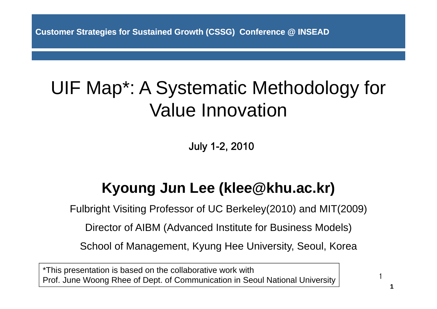**Customer Strategies for Sustained Growth (CSSG) Conference @ INSEAD**

## UIF Map\*: A Systematic Methodology for Value Innovation

July 1-2, 2010

### **Kyoung Jun Lee (klee@khu ac kr) (klee@khu.ac.kr)**

Fulbright Visiting Professor of UC Berkeley(2010) and MIT(2009)

Director of AIBM (Advanced Institute for Business Models)

School of Management, Kyung Hee University, Seoul, Korea

\*This presentation is based on the collaborative work with Prof. June Woong Rhee of Dept. of Communication in Seoul National University

1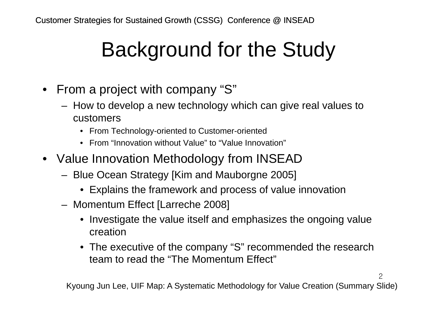# Background for the Study

- From a project with company "S"
	- – How to develop a new technology which can give real values to customers
		- From Technology-oriented to Customer-oriented
		- From "Innovation without Value" to "Value Innovation"
- Value Innovation Methodology from INSEAD
	- – Blue Ocean Strategy [Kim and Mauborgne 2005]
		- Explains the framework and process of value innovation
	- – Momentum Effect [Larreche 2008]
		- Investigate the value itself and emphasizes the ongoing value creation
		- The executive of the company "S" recommended the research team to read the "The Momentum Effect" . . . . . . . . . . . . .

Kyoung Jun Lee, UIF Map: A Systematic Methodology for Value Creation (Summary Slide)

 $\mathcal{P}$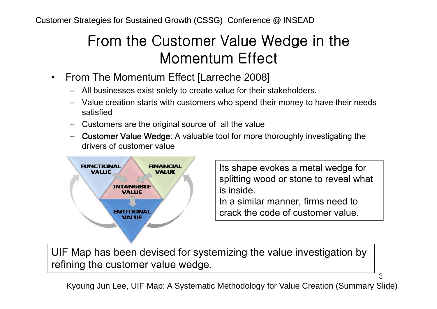### From the Customer Value Wedge in the Momentum Effect

- $\bullet$  From The Momentum Effect [Larreche 2008]
	- All businesses exist solely to create value for their stakeholders.
	- Value creation starts with customers who spend their money to have their needs satisfied
	- Customers are the original source of all the value
	- Customer Value Wedge: A valuable tool for more thoroughly investigating the drivers of customer value



Its shape evokes a metal wedge for splitting wood or stone to reveal what is inside.

3

In a similar manner, firms need to crack the code of customer value.

UIF Map has been devised for systemizing the value investigation by refining the customer value wedge.

Kyoung Jun Lee, UIF Map: A Systematic Methodology for Value Creation (Summary Slide)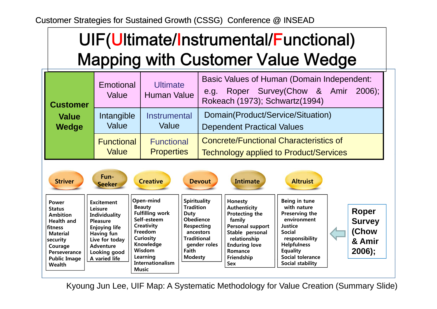Customer Strategies for Sustained Growth (CSSG) Conference @ INSEAD

## UIF(Ultimate/Instrumental/Functional) Mapping with Customer Value Wedge

| <b>Customer</b> | Emotional<br>Value | <b>Ultimate</b><br><b>Human Value</b> | <b>Basic Values of Human (Domain Independent:</b><br>Roper Survey(Chow & Amir<br>$2006$ :<br>e.g.<br>Rokeach (1973); Schwartz(1994) |  |  |  |
|-----------------|--------------------|---------------------------------------|-------------------------------------------------------------------------------------------------------------------------------------|--|--|--|
| <b>Value</b>    | Intangible         | Instrumental                          | Domain(Product/Service/Situation)                                                                                                   |  |  |  |
| <b>Wedge</b>    | Value              | Value                                 | <b>Dependent Practical Values</b>                                                                                                   |  |  |  |
|                 | <b>Functional</b>  | <b>Functional</b>                     | <b>Concrete/Functional Characteristics of</b>                                                                                       |  |  |  |
|                 | <b>Value</b>       | <b>Properties</b>                     | <b>Technology applied to Product/Services</b>                                                                                       |  |  |  |

| <b>Striver</b>                                                                                                                                                                              | Fun-7<br><b>Seeker</b>                                                                                                                                                        | <b>Creative</b>                                                                                                                                                                  | <b>Devout</b>                                                                                                                                            | <b>Intimate</b>                                                                                                                                                           | <b>Altruist</b>                                                                                                                                                                                     |                                                              |
|---------------------------------------------------------------------------------------------------------------------------------------------------------------------------------------------|-------------------------------------------------------------------------------------------------------------------------------------------------------------------------------|----------------------------------------------------------------------------------------------------------------------------------------------------------------------------------|----------------------------------------------------------------------------------------------------------------------------------------------------------|---------------------------------------------------------------------------------------------------------------------------------------------------------------------------|-----------------------------------------------------------------------------------------------------------------------------------------------------------------------------------------------------|--------------------------------------------------------------|
| <b>Power</b><br><b>Status</b><br><b>Ambition</b><br><b>Health and</b><br><b>fitness</b><br><b>Material</b><br>  security<br>Courage<br><b>Perseverance</b><br><b>Public Image</b><br>Wealth | <b>Excitement</b><br>Leisure<br><b>Individuality</b><br><b>Pleasure</b><br><b>Enjoying life</b><br>Having fun<br>Live for today<br>Adventure<br>Looking good<br>A varied life | Open-mind<br><b>Beauty</b><br><b>Fulfilling work</b><br>Self-esteem<br>Creativity<br>Freedom<br>Curiosity<br>Knowledge<br>Wisdom<br>Learning<br>Internationalism<br><b>Music</b> | <b>Spirituality</b><br><b>Tradition</b><br>Duty<br>Obedience<br>Respecting<br>ancestors<br><b>Traditional</b><br>gender roles<br>Faith<br><b>Modesty</b> | Honesty<br>Authenticity<br>Protecting the<br>family<br><b>Personal support</b><br>Stable personal<br>relationship<br><b>Enduring love</b><br>Romance<br>Friendship<br>Sex | Being in tune<br>with nature<br>Preserving the<br>environment<br>Justice<br><b>Social</b><br>responsibility<br><b>Helpfulness</b><br><b>Equality</b><br><b>Social tolerance</b><br>Social stability | Roper<br><b>Survey</b><br><b>(Chow</b><br>& Amir<br>$2006$ ; |

Kyoung Jun Lee, UIF Map: A Systematic Methodology for Value Creation (Summary Slide)